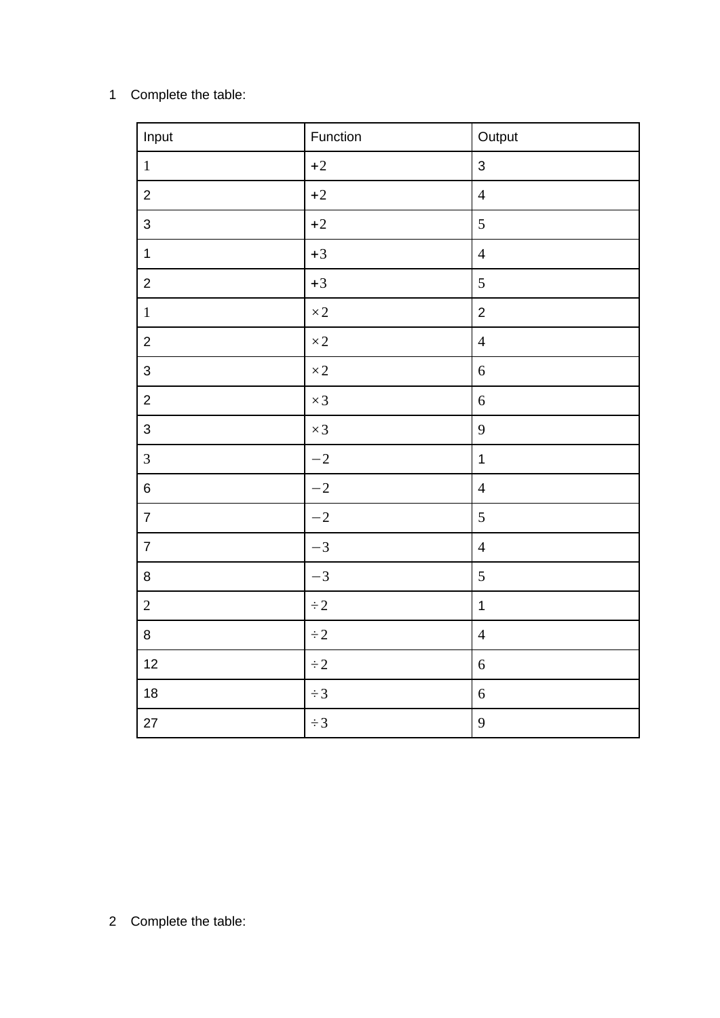## Complete the table:

| Input            | Function   | Output         |
|------------------|------------|----------------|
| $\,1\,$          | $+2$       | $\mathsf{3}$   |
| $\overline{c}$   | $\pm 2$    | $\overline{4}$ |
| $\mathsf{3}$     | $+2$       | 5              |
| $\mathbf 1$      | $+3$       | $\overline{4}$ |
| $\overline{c}$   | $+3$       | 5              |
| $\,1\,$          | $\times 2$ | $\overline{2}$ |
| $\overline{c}$   | $\times 2$ | $\overline{4}$ |
| $\mathsf{3}$     | $\times 2$ | $\,6\,$        |
| $\overline{2}$   | $\times 3$ | $6\,$          |
| $\mathsf{3}$     | $\times 3$ | $\overline{9}$ |
| $\mathbf{3}$     | $-2$       | $\mathbf 1$    |
| $\bf 6$          | $-2$       | $\overline{4}$ |
| $\boldsymbol{7}$ | $-2$       | 5              |
| $\overline{7}$   | $-3$       | $\overline{4}$ |
| $\, 8$           | $-3$       | 5              |
| $\overline{2}$   | $\div 2$   | $\mathbf 1$    |
| $\bf 8$          | $\div 2$   | $\overline{4}$ |
| 12               | $\div 2$   | $\,6\,$        |
| $18\,$           | $\div 3$   | $\sqrt{6}$     |
| $27\,$           | $\div 3$   | $\overline{9}$ |

Complete the table: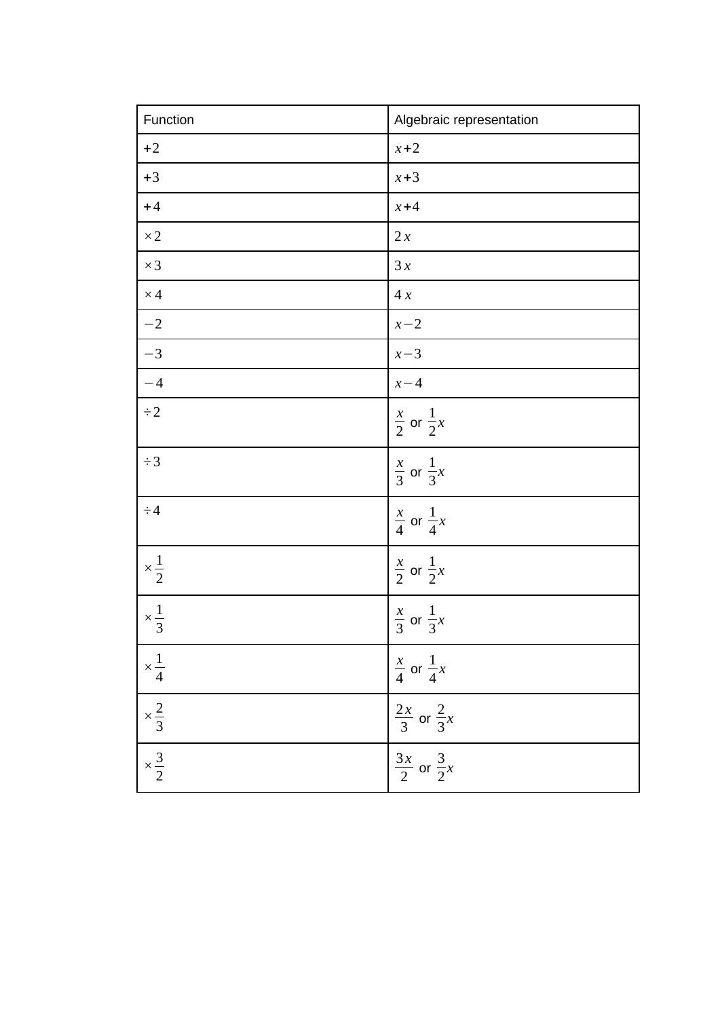| Function             | Algebraic representation         |
|----------------------|----------------------------------|
| $+2$                 | $x+2$                            |
| $+3$                 | $x + 3$                          |
| $+4$                 | $x + 4$                          |
| $\times 2$           | 2x                               |
| $\times 3$           | 3x                               |
| $\times\,4$          | 4x                               |
| $-2$                 | $x-2$                            |
| $-3$                 | $x-3$                            |
| $-4$                 | $x - 4$                          |
| $\div 2$             | $\frac{x}{2}$ or $\frac{1}{2}x$  |
| $\div 3$             | $\frac{x}{3}$ or $\frac{1}{3}x$  |
| $\div 4$             | $rac{x}{4}$ or $rac{1}{4}x$      |
| $\times\frac{1}{2}$  | $\frac{x}{2}$ or $\frac{1}{2}x$  |
| $\times \frac{1}{3}$ | $\frac{x}{3}$ or $\frac{1}{3}x$  |
| $\times\frac{1}{4}$  | $rac{x}{4}$ or $rac{1}{4}x$      |
| $\times \frac{2}{3}$ | $\frac{2x}{3}$ or $\frac{2}{3}x$ |
| $\times \frac{3}{2}$ | $\frac{3x}{2}$ or $\frac{3}{2}x$ |